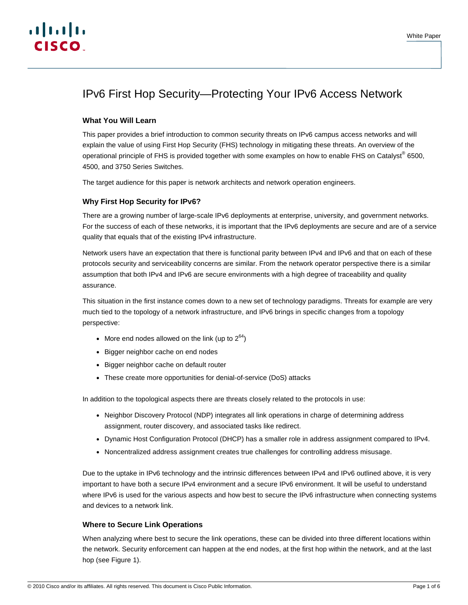# IPv6 First Hop Security—Protecting Your IPv6 Access Network

# **What You Will Learn**

This paper provides a brief introduction to common security threats on IPv6 campus access networks and will explain the value of using First Hop Security (FHS) technology in mitigating these threats. An overview of the operational principle of FHS is provided together with some examples on how to enable FHS on Catalyst® 6500, 4500, and 3750 Series Switches.

The target audience for this paper is network architects and network operation engineers.

# **Why First Hop Security for IPv6?**

There are a growing number of large-scale IPv6 deployments at enterprise, university, and government networks. For the success of each of these networks, it is important that the IPv6 deployments are secure and are of a service quality that equals that of the existing IPv4 infrastructure.

Network users have an expectation that there is functional parity between IPv4 and IPv6 and that on each of these protocols security and serviceability concerns are similar. From the network operator perspective there is a similar assumption that both IPv4 and IPv6 are secure environments with a high degree of traceability and quality assurance.

This situation in the first instance comes down to a new set of technology paradigms. Threats for example are very much tied to the topology of a network infrastructure, and IPv6 brings in specific changes from a topology perspective:

- More end nodes allowed on the link (up to  $2^{64}$ )
- Bigger neighbor cache on end nodes
- Bigger neighbor cache on default router
- These create more opportunities for denial-of-service (DoS) attacks

In addition to the topological aspects there are threats closely related to the protocols in use:

- Neighbor Discovery Protocol (NDP) integrates all link operations in charge of determining address assignment, router discovery, and associated tasks like redirect.
- Dynamic Host Configuration Protocol (DHCP) has a smaller role in address assignment compared to IPv4.
- Noncentralized address assignment creates true challenges for controlling address misusage.

Due to the uptake in IPv6 technology and the intrinsic differences between IPv4 and IPv6 outlined above, it is very important to have both a secure IPv4 environment and a secure IPv6 environment. It will be useful to understand where IPv6 is used for the various aspects and how best to secure the IPv6 infrastructure when connecting systems and devices to a network link.

# **Where to Secure Link Operations**

When analyzing where best to secure the link operations, these can be divided into three different locations within the network. Security enforcement can happen at the end nodes, at the first hop within the network, and at the last hop (see Figure 1).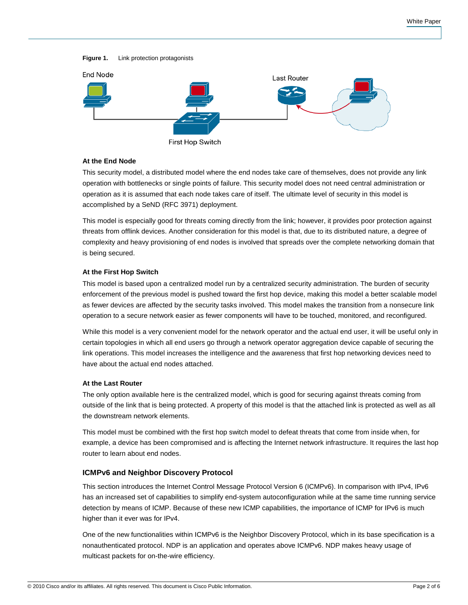#### **Figure 1.** Link protection protagonists



#### **At the End Node**

This security model, a distributed model where the end nodes take care of themselves, does not provide any link operation with bottlenecks or single points of failure. This security model does not need central administration or operation as it is assumed that each node takes care of itself. The ultimate level of security in this model is accomplished by a SeND (RFC 3971) deployment.

This model is especially good for threats coming directly from the link; however, it provides poor protection against threats from offlink devices. Another consideration for this model is that, due to its distributed nature, a degree of complexity and heavy provisioning of end nodes is involved that spreads over the complete networking domain that is being secured.

#### **At the First Hop Switch**

This model is based upon a centralized model run by a centralized security administration. The burden of security enforcement of the previous model is pushed toward the first hop device, making this model a better scalable model as fewer devices are affected by the security tasks involved. This model makes the transition from a nonsecure link operation to a secure network easier as fewer components will have to be touched, monitored, and reconfigured.

While this model is a very convenient model for the network operator and the actual end user, it will be useful only in certain topologies in which all end users go through a network operator aggregation device capable of securing the link operations. This model increases the intelligence and the awareness that first hop networking devices need to have about the actual end nodes attached.

#### **At the Last Router**

The only option available here is the centralized model, which is good for securing against threats coming from outside of the link that is being protected. A property of this model is that the attached link is protected as well as all the downstream network elements.

This model must be combined with the first hop switch model to defeat threats that come from inside when, for example, a device has been compromised and is affecting the Internet network infrastructure. It requires the last hop router to learn about end nodes.

### **ICMPv6 and Neighbor Discovery Protocol**

This section introduces the Internet Control Message Protocol Version 6 (ICMPv6). In comparison with IPv4, IPv6 has an increased set of capabilities to simplify end-system autoconfiguration while at the same time running service detection by means of ICMP. Because of these new ICMP capabilities, the importance of ICMP for IPv6 is much higher than it ever was for IPv4.

One of the new functionalities within ICMPv6 is the Neighbor Discovery Protocol, which in its base specification is a nonauthenticated protocol. NDP is an application and operates above ICMPv6. NDP makes heavy usage of multicast packets for on-the-wire efficiency.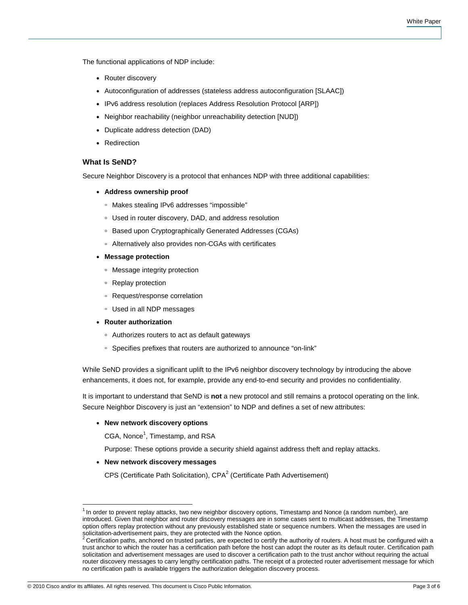The functional applications of NDP include:

- Router discovery
- Autoconfiguration of addresses (stateless address autoconfiguration [SLAAC])
- IPv6 address resolution (replaces Address Resolution Protocol [ARP])
- Neighbor reachability (neighbor unreachability detection [NUD])
- Duplicate address detection (DAD)
- Redirection

### **What Is SeND?**

Secure Neighbor Discovery is a protocol that enhances NDP with three additional capabilities:

- **Address ownership proof** 
	- Makes stealing IPv6 addresses "impossible"
	- Used in router discovery, DAD, and address resolution
	- Based upon Cryptographically Generated Addresses (CGAs)
	- Alternatively also provides non-CGAs with certificates
- **Message protection** 
	- Message integrity protection
	- Replay protection
	- Request/response correlation
	- Used in all NDP messages
- **Router authorization** 
	- Authorizes routers to act as default gateways
	- Specifies prefixes that routers are authorized to announce "on-link"

While SeND provides a significant uplift to the IPv6 neighbor discovery technology by introducing the above enhancements, it does not, for example, provide any end-to-end security and provides no confidentiality.

It is important to understand that SeND is **not** a new protocol and still remains a protocol operating on the link. Secure Neighbor Discovery is just an "extension" to NDP and defines a set of new attributes:

#### ● **New network discovery options**

CGA, Nonce<sup>1</sup>, Timestamp, and RSA

Purpose: These options provide a security shield against address theft and replay attacks.

#### ● **New network discovery messages**

CPS (Certificate Path Solicitation), CPA<sup>2</sup> (Certificate Path Advertisement)

 $\overline{\phantom{a}}$ 

 $1$  In order to prevent replay attacks, two new neighbor discovery options, Timestamp and Nonce (a random number), are introduced. Given that neighbor and router discovery messages are in some cases sent to multicast addresses, the Timestamp option offers replay protection without any previously established state or sequence numbers. When the messages are used in solicitation-advertisement pairs, they are protected with the Nonce option.<br><sup>2</sup> Certification paths, anchored on trusted parties, are expected to certify the authority of routers. A host must be configured with a

trust anchor to which the router has a certification path before the host can adopt the router as its default router. Certification path solicitation and advertisement messages are used to discover a certification path to the trust anchor without requiring the actual router discovery messages to carry lengthy certification paths. The receipt of a protected router advertisement message for which no certification path is available triggers the authorization delegation discovery process.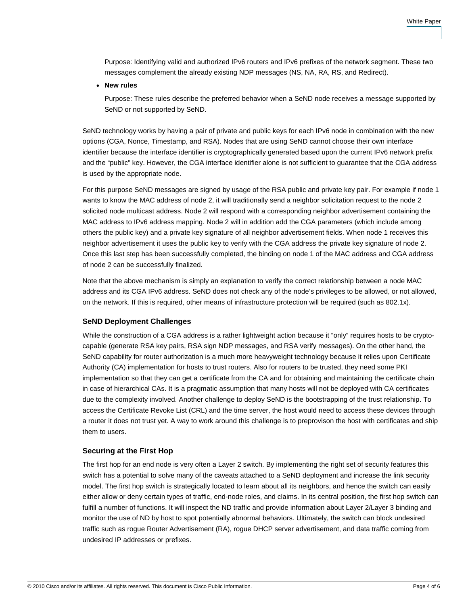Purpose: Identifying valid and authorized IPv6 routers and IPv6 prefixes of the network segment. These two messages complement the already existing NDP messages (NS, NA, RA, RS, and Redirect).

● **New rules** 

Purpose: These rules describe the preferred behavior when a SeND node receives a message supported by SeND or not supported by SeND.

SeND technology works by having a pair of private and public keys for each IPv6 node in combination with the new options (CGA, Nonce, Timestamp, and RSA). Nodes that are using SeND cannot choose their own interface identifier because the interface identifier is cryptographically generated based upon the current IPv6 network prefix and the "public" key. However, the CGA interface identifier alone is not sufficient to guarantee that the CGA address is used by the appropriate node.

For this purpose SeND messages are signed by usage of the RSA public and private key pair. For example if node 1 wants to know the MAC address of node 2, it will traditionally send a neighbor solicitation request to the node 2 solicited node multicast address. Node 2 will respond with a corresponding neighbor advertisement containing the MAC address to IPv6 address mapping. Node 2 will in addition add the CGA parameters (which include among others the public key) and a private key signature of all neighbor advertisement fields. When node 1 receives this neighbor advertisement it uses the public key to verify with the CGA address the private key signature of node 2. Once this last step has been successfully completed, the binding on node 1 of the MAC address and CGA address of node 2 can be successfully finalized.

Note that the above mechanism is simply an explanation to verify the correct relationship between a node MAC address and its CGA IPv6 address. SeND does not check any of the node's privileges to be allowed, or not allowed, on the network. If this is required, other means of infrastructure protection will be required (such as 802.1x).

# **SeND Deployment Challenges**

While the construction of a CGA address is a rather lightweight action because it "only" requires hosts to be cryptocapable (generate RSA key pairs, RSA sign NDP messages, and RSA verify messages). On the other hand, the SeND capability for router authorization is a much more heavyweight technology because it relies upon Certificate Authority (CA) implementation for hosts to trust routers. Also for routers to be trusted, they need some PKI implementation so that they can get a certificate from the CA and for obtaining and maintaining the certificate chain in case of hierarchical CAs. It is a pragmatic assumption that many hosts will not be deployed with CA certificates due to the complexity involved. Another challenge to deploy SeND is the bootstrapping of the trust relationship. To access the Certificate Revoke List (CRL) and the time server, the host would need to access these devices through a router it does not trust yet. A way to work around this challenge is to preprovison the host with certificates and ship them to users.

## **Securing at the First Hop**

The first hop for an end node is very often a Layer 2 switch. By implementing the right set of security features this switch has a potential to solve many of the caveats attached to a SeND deployment and increase the link security model. The first hop switch is strategically located to learn about all its neighbors, and hence the switch can easily either allow or deny certain types of traffic, end-node roles, and claims. In its central position, the first hop switch can fulfill a number of functions. It will inspect the ND traffic and provide information about Layer 2/Layer 3 binding and monitor the use of ND by host to spot potentially abnormal behaviors. Ultimately, the switch can block undesired traffic such as rogue Router Advertisement (RA), rogue DHCP server advertisement, and data traffic coming from undesired IP addresses or prefixes.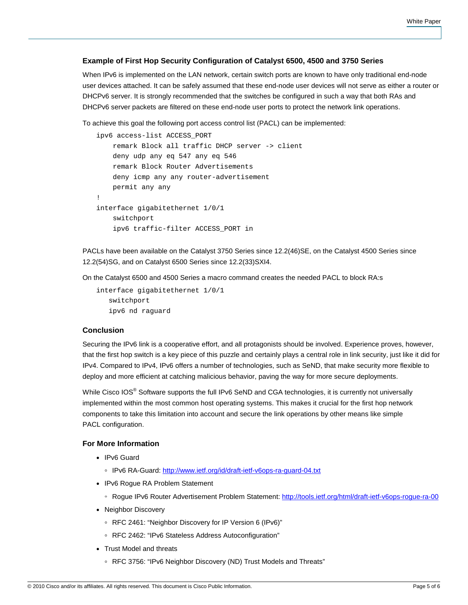# **Example of First Hop Security Configuration of Catalyst 6500, 4500 and 3750 Series**

When IPv6 is implemented on the LAN network, certain switch ports are known to have only traditional end-node user devices attached. It can be safely assumed that these end-node user devices will not serve as either a router or DHCPv6 server. It is strongly recommended that the switches be configured in such a way that both RAs and DHCPv6 server packets are filtered on these end-node user ports to protect the network link operations.

To achieve this goal the following port access control list (PACL) can be implemented:

```
ipv6 access-list ACCESS_PORT 
     remark Block all traffic DHCP server -> client 
     deny udp any eq 547 any eq 546 
     remark Block Router Advertisements 
     deny icmp any any router-advertisement 
     permit any any 
! 
interface gigabitethernet 1/0/1 
     switchport 
     ipv6 traffic-filter ACCESS_PORT in
```
PACLs have been available on the Catalyst 3750 Series since 12.2(46)SE, on the Catalyst 4500 Series since 12.2(54)SG, and on Catalyst 6500 Series since 12.2(33)SXI4.

On the Catalyst 6500 and 4500 Series a macro command creates the needed PACL to block RA:s

```
interface gigabitethernet 1/0/1 
    switchport 
    ipv6 nd raguard
```
# **Conclusion**

Securing the IPv6 link is a cooperative effort, and all protagonists should be involved. Experience proves, however, that the first hop switch is a key piece of this puzzle and certainly plays a central role in link security, just like it did for IPv4. Compared to IPv4, IPv6 offers a number of technologies, such as SeND, that make security more flexible to deploy and more efficient at catching malicious behavior, paving the way for more secure deployments.

While Cisco IOS<sup>®</sup> Software supports the full IPv6 SeND and CGA technologies, it is currently not universally implemented within the most common host operating systems. This makes it crucial for the first hop network components to take this limitation into account and secure the link operations by other means like simple PACL configuration.

# **For More Information**

- IPv6 Guard
	- IPv6 RA-Guard: <http://www.ietf.org/id/draft-ietf-v6ops-ra-guard-04.txt>
- IPv6 Rogue RA Problem Statement
	- Rogue IPv6 Router Advertisement Problem Statement:<http://tools.ietf.org/html/draft-ietf-v6ops-rogue-ra-00>
- Neighbor Discovery
	- RFC 2461: "Neighbor Discovery for IP Version 6 (IPv6)"
	- RFC 2462: "IPv6 Stateless Address Autoconfiguration"
- Trust Model and threats
	- RFC 3756: "IPv6 Neighbor Discovery (ND) Trust Models and Threats"